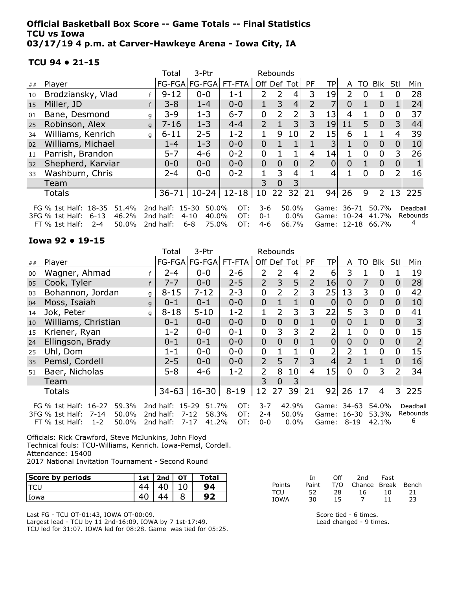#### Official Basketball Box Score -- Game Totals -- Final Statistics TCU vs Iowa 03/17/19 4 p.m. at Carver-Hawkeye Arena - Iowa City, IA

FT % 1st Half: 2-4 50.0% 2nd half: 6-8 75.0% OT: 4-6 66.7%

#### TCU 94 • 21-15

|    |                                                                                                                                                                                                                                                                |   | Total     | 3-Ptr         |           | Rebounds       |          |                |           |                |          |     |                |                |     |
|----|----------------------------------------------------------------------------------------------------------------------------------------------------------------------------------------------------------------------------------------------------------------|---|-----------|---------------|-----------|----------------|----------|----------------|-----------|----------------|----------|-----|----------------|----------------|-----|
| ## | Player                                                                                                                                                                                                                                                         |   |           | FG-FGA FG-FGA | FT-FTA    | Off Def Tot    |          |                | <b>PF</b> | TPI            | A        | TO. | Blk            | Stll           | Min |
| 10 | Brodziansky, Vlad                                                                                                                                                                                                                                              |   | $9 - 12$  | $0 - 0$       | $1 - 1$   | 2              | 2        | 4              | 3         | 19             | 2        | 0   |                |                | 28  |
| 15 | Miller, JD                                                                                                                                                                                                                                                     |   | $3 - 8$   | $1 - 4$       | $0 - 0$   |                | 3        | $\overline{4}$ | 2         | 7              | $\Omega$ |     | 0              |                | 24  |
| 01 | Bane, Desmond                                                                                                                                                                                                                                                  | q | $3 - 9$   | $1 - 3$       | $6 - 7$   | 0              | 2        | 2              | 3         | 13             | 4        |     | $\mathbf 0$    | 0              | 37  |
| 25 | Robinson, Alex                                                                                                                                                                                                                                                 | q | $7 - 16$  | $1 - 3$       | $4 - 4$   | $\overline{2}$ |          | 3              | 3         | 19             | 11       | 5   | 0              | $\overline{3}$ | 44  |
| 34 | Williams, Kenrich                                                                                                                                                                                                                                              | q | $6 - 11$  | $2 - 5$       | $1 - 2$   |                | 9        | 10             | 2         | 15             | 6        |     |                | 4              | 39  |
| 02 | Williams, Michael                                                                                                                                                                                                                                              |   | $1 - 4$   | $1 - 3$       | $0 - 0$   | $\overline{0}$ |          |                |           | 3              |          | 0   | $\overline{0}$ | 0              | 10  |
| 11 | Parrish, Brandon                                                                                                                                                                                                                                               |   | $5 - 7$   | $4 - 6$       | $0 - 2$   | 0              |          |                | 4         | 14             |          | 0   | $\overline{0}$ | 3              | 26  |
| 32 | Shepherd, Karviar                                                                                                                                                                                                                                              |   | $0 - 0$   | $0 - 0$       | $0 - 0$   | $\overline{0}$ | $\Omega$ | 0              | 2         | $\overline{0}$ | $\Omega$ |     | $\overline{0}$ | 0              |     |
| 33 | Washburn, Chris                                                                                                                                                                                                                                                |   | $2 - 4$   | $0 - 0$       | $0 - 2$   |                | 3        | 4              |           | 4              |          | 0   | $\overline{0}$ |                | 16  |
|    | Team                                                                                                                                                                                                                                                           |   |           |               |           | 3              | $\Omega$ | 3              |           |                |          |     |                |                |     |
|    | <b>Totals</b>                                                                                                                                                                                                                                                  |   | $36 - 71$ | $10-24$       | $12 - 18$ | 10             | 22       | 32             | 21        | 94             | 26       | 9   | $\overline{2}$ | 13             | 225 |
|    | 50.0%<br>FG % 1st Half: 18-35<br>51.4%<br>2nd half: 15-30<br>50.0%<br>OT:<br>3-6<br>50.7%<br>36-71<br>Deadball<br>Game:<br>46.2%<br>2nd half:<br>40.0%<br>OT:<br>$0 - 1$<br>$0.0\%$<br>Rebounds<br>3FG % 1st Half:<br>6-13<br>$4 - 10$<br>Game: 10-24<br>41.7% |   |           |               |           |                |          |                |           |                |          |     |                |                |     |
|    |                                                                                                                                                                                                                                                                |   |           |               |           |                |          |                |           |                |          |     |                |                |     |

#### Iowa 92 • 19-15

|    |                                    |   | Total     | 3-Ptr             |          | Rebounds       |                |                 |                |                |                |                |                |                |                |
|----|------------------------------------|---|-----------|-------------------|----------|----------------|----------------|-----------------|----------------|----------------|----------------|----------------|----------------|----------------|----------------|
| ## | Player                             |   |           | FG-FGA   FG-FGA   | FT-FTA   |                |                | Off Def Tot     | PF             | TP             | A              | TO             | Blk            | <b>Stl</b>     | Min            |
| 00 | Wagner, Ahmad                      |   | 2-4       | $0 - 0$           | $2 - 6$  | 2              | 2              | 4               | 2              | 6              | 3              | 1              | 0              |                | 19             |
| 05 | Cook, Tyler                        | f | $7 - 7$   | $0 - 0$           | $2 - 5$  | $\overline{2}$ | 3              | 5               | $\overline{2}$ | 16             | $\overline{0}$ | 7              | $\overline{0}$ | 0              | 28             |
| 03 | Bohannon, Jordan                   | g | $8 - 15$  | $7 - 12$          | $2 - 3$  | 0              | $\overline{2}$ | 2               | 3              | 25             | 13             | 3              | 0              |                | 42             |
| 04 | Moss, Isaiah                       | q | $0 - 1$   | $0 - 1$           | $0 - 0$  | 0              |                |                 | 0              | 0              | 0              | 0              | $\overline{0}$ | 0              | 10             |
| 14 | Jok, Peter                         | q | $8 - 18$  | $5 - 10$          | $1 - 2$  |                | 2              | 3               | 3              | 22             | 5              | 3              | $\overline{0}$ |                | 41             |
| 10 | Williams, Christian                |   | $0 - 1$   | $0 - 0$           | $0 - 0$  | 0              | $\mathbf{0}$   | 0               |                | 0              | 0              | 1              | $\overline{0}$ | O              | 3              |
| 15 | Kriener, Ryan                      |   | $1 - 2$   | $0 - 0$           | $0 - 1$  | 0              | 3              | 3               | 2              | 2              |                | $\overline{0}$ | $\mathbf 0$    |                | 15             |
| 24 | Ellingson, Brady                   |   | $0 - 1$   | $0 - 1$           | $0 - 0$  | 0              | $\overline{0}$ | $\overline{0}$  |                | 0              | $\overline{0}$ | 0              | $\overline{0}$ | O              | $\overline{2}$ |
| 25 | Uhl, Dom                           |   | $1 - 1$   | $0 - 0$           | $0 - 0$  | 0              |                |                 | 0              | 2              | 2              | 1              | 0              |                | 15             |
| 35 | Pemsl, Cordell                     |   | $2 - 5$   | $0 - 0$           | $0 - 0$  | $\overline{2}$ | 5              | $\overline{7}$  | 3              | $\overline{4}$ | $\overline{2}$ | $\mathbf{1}$   | 1              | 0              | 16             |
| 51 | Baer, Nicholas                     |   | $5 - 8$   | $4 - 6$           | $1 - 2$  | 2              | 8              | 10 <sup>1</sup> | $\overline{4}$ | 15             | 0              | 0              | 3              |                | 34             |
|    | Team                               |   |           |                   |          | 3              | $\overline{0}$ | 3               |                |                |                |                |                |                |                |
|    | <b>Totals</b>                      |   | $34 - 63$ | 16-30             | $8 - 19$ | 12             | 27             | 39              | 21             | 92             | 26             | 17             | 4              | 3 <sup>1</sup> | 225            |
|    | 59.3%<br>FG % 1st Half: 16-27      |   | 2nd half: | 15-29<br>51.7%    | OT:      | $3 - 7$        |                | 42.9%           |                | Game:          | 34-63          |                | 54.0%          |                | Deadball       |
|    | 50.0%<br>3FG % 1st Half:<br>7-14   |   | 2nd half: | $7 - 12$<br>58.3% | OT:      | $2 - 4$        |                | 50.0%           |                | Game:          | 16-30          |                | 53.3%          |                | Rebounds       |
|    | $1 - 2$<br>50.0%<br>FT % 1st Half: |   | 2nd half: | $7 - 17$<br>41.2% | OT:      | $0 - 0$        |                | $0.0\%$         |                | Game:          | $8 - 19$       |                | 42.1%          |                | 6              |

Officials: Rick Crawford, Steve McJunkins, John Floyd Technical fouls: TCU-Williams, Kenrich. Iowa-Pemsl, Cordell. Attendance: 15400 2017 National Invitation Tournament - Second Round

| Score by periods | 1st | 2nd | OT | Total |
|------------------|-----|-----|----|-------|
|                  |     |     |    | 94    |
| Iowa             |     |     |    |       |

Last FG - TCU OT-01:43, IOWA OT-00:09. Largest lead - TCU by 11 2nd-16:09, IOWA by 7 1st-17:49.

TCU led for 31:07. IOWA led for 08:28. Game was tied for 05:25.

|        | Tn. | Off - | 2nd                          | Fast |     |
|--------|-----|-------|------------------------------|------|-----|
| Points |     |       | Paint T/O Chance Break Bench |      |     |
| TCU    | 52. | 28    | 16.                          | 1 N  | -21 |
| IOWA   | 30. | 15    | $\prime$                     | 11   | 23  |

Game: 12-18 66.7%

4

Score tied - 6 times. Lead changed - 9 times.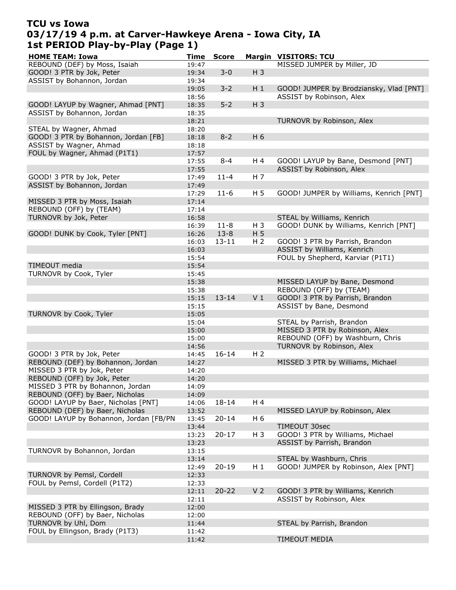# TCU vs Iowa 03/17/19 4 p.m. at Carver-Hawkeye Arena - Iowa City, IA 1st PERIOD Play-by-Play (Page 1)

| <b>HOME TEAM: Iowa</b>                 | Time  | <b>Score</b> |                | <b>Margin VISITORS: TCU</b>             |
|----------------------------------------|-------|--------------|----------------|-----------------------------------------|
| REBOUND (DEF) by Moss, Isaiah          | 19:47 |              |                | MISSED JUMPER by Miller, JD             |
| GOOD! 3 PTR by Jok, Peter              | 19:34 | $3 - 0$      | $H_3$          |                                         |
| ASSIST by Bohannon, Jordan             | 19:34 |              |                |                                         |
|                                        |       | $3 - 2$      |                |                                         |
|                                        | 19:05 |              | $H_1$          | GOOD! JUMPER by Brodziansky, Vlad [PNT] |
|                                        | 18:56 |              |                | ASSIST by Robinson, Alex                |
| GOOD! LAYUP by Wagner, Ahmad [PNT]     | 18:35 | $5 - 2$      | $H_3$          |                                         |
| ASSIST by Bohannon, Jordan             | 18:35 |              |                |                                         |
|                                        | 18:21 |              |                | TURNOVR by Robinson, Alex               |
| STEAL by Wagner, Ahmad                 | 18:20 |              |                |                                         |
| GOOD! 3 PTR by Bohannon, Jordan [FB]   | 18:18 | $8 - 2$      | H 6            |                                         |
| ASSIST by Wagner, Ahmad                | 18:18 |              |                |                                         |
|                                        |       |              |                |                                         |
| FOUL by Wagner, Ahmad (P1T1)           | 17:57 |              |                |                                         |
|                                        | 17:55 | $8 - 4$      | H 4            | GOOD! LAYUP by Bane, Desmond [PNT]      |
|                                        | 17:55 |              |                | ASSIST by Robinson, Alex                |
| GOOD! 3 PTR by Jok, Peter              | 17:49 | $11 - 4$     | H 7            |                                         |
| ASSIST by Bohannon, Jordan             | 17:49 |              |                |                                         |
|                                        | 17:29 | $11-6$       | H <sub>5</sub> | GOOD! JUMPER by Williams, Kenrich [PNT] |
| MISSED 3 PTR by Moss, Isaiah           | 17:14 |              |                |                                         |
| REBOUND (OFF) by (TEAM)                | 17:14 |              |                |                                         |
|                                        |       |              |                |                                         |
| TURNOVR by Jok, Peter                  | 16:58 |              |                | STEAL by Williams, Kenrich              |
|                                        | 16:39 | $11 - 8$     | H 3            | GOOD! DUNK by Williams, Kenrich [PNT]   |
| GOOD! DUNK by Cook, Tyler [PNT]        | 16:26 | $13 - 8$     | H <sub>5</sub> |                                         |
|                                        | 16:03 | $13 - 11$    | H <sub>2</sub> | GOOD! 3 PTR by Parrish, Brandon         |
|                                        | 16:03 |              |                | ASSIST by Williams, Kenrich             |
|                                        | 15:54 |              |                | FOUL by Shepherd, Karviar (P1T1)        |
| TIMEOUT media                          | 15:54 |              |                |                                         |
|                                        |       |              |                |                                         |
| TURNOVR by Cook, Tyler                 | 15:45 |              |                |                                         |
|                                        | 15:38 |              |                | MISSED LAYUP by Bane, Desmond           |
|                                        | 15:38 |              |                | REBOUND (OFF) by (TEAM)                 |
|                                        | 15:15 | $13 - 14$    | V <sub>1</sub> | GOOD! 3 PTR by Parrish, Brandon         |
|                                        | 15:15 |              |                | ASSIST by Bane, Desmond                 |
| TURNOVR by Cook, Tyler                 | 15:05 |              |                |                                         |
|                                        | 15:04 |              |                | STEAL by Parrish, Brandon               |
|                                        | 15:00 |              |                | MISSED 3 PTR by Robinson, Alex          |
|                                        |       |              |                |                                         |
|                                        | 15:00 |              |                | REBOUND (OFF) by Washburn, Chris        |
|                                        | 14:56 |              |                | TURNOVR by Robinson, Alex               |
| GOOD! 3 PTR by Jok, Peter              | 14:45 | $16 - 14$    | H <sub>2</sub> |                                         |
| REBOUND (DEF) by Bohannon, Jordan      | 14:27 |              |                | MISSED 3 PTR by Williams, Michael       |
| MISSED 3 PTR by Jok, Peter             | 14:20 |              |                |                                         |
| REBOUND (OFF) by Jok, Peter            | 14:20 |              |                |                                         |
| MISSED 3 PTR by Bohannon, Jordan       | 14:09 |              |                |                                         |
| REBOUND (OFF) by Baer, Nicholas        | 14:09 |              |                |                                         |
|                                        |       |              |                |                                         |
| GOOD! LAYUP by Baer, Nicholas [PNT]    | 14:06 | 18-14        | H 4            |                                         |
| REBOUND (DEF) by Baer, Nicholas        | 13:52 |              |                | MISSED LAYUP by Robinson, Alex          |
| GOOD! LAYUP by Bohannon, Jordan [FB/PN | 13:45 | $20 - 14$    | H 6            |                                         |
|                                        | 13:44 |              |                | TIMEOUT 30sec                           |
|                                        | 13:23 | $20 - 17$    | $H_3$          | GOOD! 3 PTR by Williams, Michael        |
|                                        | 13:23 |              |                | ASSIST by Parrish, Brandon              |
| TURNOVR by Bohannon, Jordan            | 13:15 |              |                |                                         |
|                                        | 13:14 |              |                | STEAL by Washburn, Chris                |
|                                        |       |              |                |                                         |
|                                        | 12:49 | $20 - 19$    | $H_1$          | GOOD! JUMPER by Robinson, Alex [PNT]    |
| TURNOVR by Pemsl, Cordell              | 12:33 |              |                |                                         |
| FOUL by Pemsl, Cordell (P1T2)          | 12:33 |              |                |                                         |
|                                        | 12:11 | $20 - 22$    | V <sub>2</sub> | GOOD! 3 PTR by Williams, Kenrich        |
|                                        | 12:11 |              |                | ASSIST by Robinson, Alex                |
| MISSED 3 PTR by Ellingson, Brady       | 12:00 |              |                |                                         |
| REBOUND (OFF) by Baer, Nicholas        | 12:00 |              |                |                                         |
|                                        |       |              |                |                                         |
| TURNOVR by Uhl, Dom                    | 11:44 |              |                | STEAL by Parrish, Brandon               |
| FOUL by Ellingson, Brady (P1T3)        | 11:42 |              |                |                                         |
|                                        | 11:42 |              |                | TIMEOUT MEDIA                           |
|                                        |       |              |                |                                         |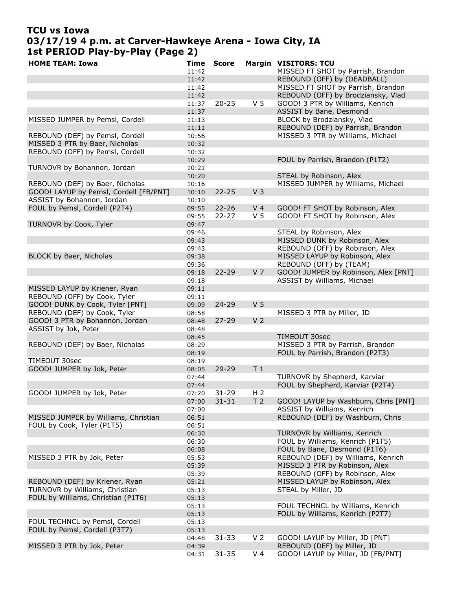## TCU vs Iowa 03/17/19 4 p.m. at Carver-Hawkeye Arena - Iowa City, IA 1st PERIOD Play-by-Play (Page 2)

| <b>HOME TEAM: Iowa</b>                 | <b>Time</b> | <b>Score</b> |                | <b>Margin VISITORS: TCU</b>          |
|----------------------------------------|-------------|--------------|----------------|--------------------------------------|
|                                        | 11:42       |              |                | MISSED FT SHOT by Parrish, Brandon   |
|                                        | 11:42       |              |                | REBOUND (OFF) by (DEADBALL)          |
|                                        | 11:42       |              |                | MISSED FT SHOT by Parrish, Brandon   |
|                                        | 11:42       |              |                | REBOUND (OFF) by Brodziansky, Vlad   |
|                                        | 11:37       | $20 - 25$    | V <sub>5</sub> | GOOD! 3 PTR by Williams, Kenrich     |
|                                        | 11:37       |              |                | ASSIST by Bane, Desmond              |
| MISSED JUMPER by Pemsl, Cordell        | 11:13       |              |                | BLOCK by Brodziansky, Vlad           |
|                                        | 11:11       |              |                | REBOUND (DEF) by Parrish, Brandon    |
| REBOUND (DEF) by Pemsl, Cordell        | 10:56       |              |                | MISSED 3 PTR by Williams, Michael    |
| MISSED 3 PTR by Baer, Nicholas         | 10:32       |              |                |                                      |
| REBOUND (OFF) by Pemsl, Cordell        | 10:32       |              |                |                                      |
|                                        | 10:29       |              |                | FOUL by Parrish, Brandon (P1T2)      |
| TURNOVR by Bohannon, Jordan            | 10:21       |              |                |                                      |
|                                        | 10:20       |              |                | STEAL by Robinson, Alex              |
| REBOUND (DEF) by Baer, Nicholas        | 10:16       |              |                | MISSED JUMPER by Williams, Michael   |
| GOOD! LAYUP by Pemsl, Cordell [FB/PNT] | 10:10       | $22 - 25$    | V <sub>3</sub> |                                      |
| ASSIST by Bohannon, Jordan             | 10:10       |              |                |                                      |
| FOUL by Pemsl, Cordell (P2T4)          |             | $22 - 26$    | V <sub>4</sub> |                                      |
|                                        | 09:55       |              | V <sub>5</sub> | GOOD! FT SHOT by Robinson, Alex      |
|                                        | 09:55       | $22 - 27$    |                | GOOD! FT SHOT by Robinson, Alex      |
| TURNOVR by Cook, Tyler                 | 09:47       |              |                |                                      |
|                                        | 09:46       |              |                | STEAL by Robinson, Alex              |
|                                        | 09:43       |              |                | MISSED DUNK by Robinson, Alex        |
|                                        | 09:43       |              |                | REBOUND (OFF) by Robinson, Alex      |
| BLOCK by Baer, Nicholas                | 09:38       |              |                | MISSED LAYUP by Robinson, Alex       |
|                                        | 09:36       |              |                | REBOUND (OFF) by (TEAM)              |
|                                        | 09:18       | 22-29        | V <sub>7</sub> | GOOD! JUMPER by Robinson, Alex [PNT] |
|                                        | 09:18       |              |                | ASSIST by Williams, Michael          |
| MISSED LAYUP by Kriener, Ryan          | 09:11       |              |                |                                      |
| REBOUND (OFF) by Cook, Tyler           | 09:11       |              |                |                                      |
| GOOD! DUNK by Cook, Tyler [PNT]        | 09:09       | 24-29        | V <sub>5</sub> |                                      |
| REBOUND (DEF) by Cook, Tyler           | 08:58       |              |                | MISSED 3 PTR by Miller, JD           |
| GOOD! 3 PTR by Bohannon, Jordan        | 08:48       | $27 - 29$    | V <sub>2</sub> |                                      |
| ASSIST by Jok, Peter                   | 08:48       |              |                |                                      |
|                                        | 08:45       |              |                | TIMEOUT 30sec                        |
| REBOUND (DEF) by Baer, Nicholas        | 08:29       |              |                | MISSED 3 PTR by Parrish, Brandon     |
|                                        | 08:19       |              |                | FOUL by Parrish, Brandon (P2T3)      |
| TIMEOUT 30sec                          | 08:19       |              |                |                                      |
| GOOD! JUMPER by Jok, Peter             | 08:05       | $29 - 29$    | T <sub>1</sub> |                                      |
|                                        | 07:44       |              |                | TURNOVR by Shepherd, Karviar         |
|                                        | 07:44       |              |                | FOUL by Shepherd, Karviar (P2T4)     |
| GOOD! JUMPER by Jok, Peter             | 07:20       | $31 - 29$    | H <sub>2</sub> |                                      |
|                                        | 07:00       | $31 - 31$    | T <sub>2</sub> | GOOD! LAYUP by Washburn, Chris [PNT] |
|                                        | 07:00       |              |                | ASSIST by Williams, Kenrich          |
| MISSED JUMPER by Williams, Christian   | 06:51       |              |                | REBOUND (DEF) by Washburn, Chris     |
| FOUL by Cook, Tyler (P1T5)             | 06:51       |              |                |                                      |
|                                        | 06:30       |              |                | TURNOVR by Williams, Kenrich         |
|                                        | 06:30       |              |                | FOUL by Williams, Kenrich (P1T5)     |
|                                        | 06:08       |              |                | FOUL by Bane, Desmond (P1T6)         |
| MISSED 3 PTR by Jok, Peter             | 05:53       |              |                | REBOUND (DEF) by Williams, Kenrich   |
|                                        | 05:39       |              |                | MISSED 3 PTR by Robinson, Alex       |
|                                        | 05:39       |              |                | REBOUND (OFF) by Robinson, Alex      |
| REBOUND (DEF) by Kriener, Ryan         | 05:21       |              |                | MISSED LAYUP by Robinson, Alex       |
| TURNOVR by Williams, Christian         | 05:13       |              |                | STEAL by Miller, JD                  |
| FOUL by Williams, Christian (P1T6)     | 05:13       |              |                |                                      |
|                                        | 05:13       |              |                | FOUL TECHNCL by Williams, Kenrich    |
|                                        |             |              |                |                                      |
|                                        | 05:13       |              |                | FOUL by Williams, Kenrich (P2T7)     |
| FOUL TECHNCL by Pemsl, Cordell         | 05:13       |              |                |                                      |
| FOUL by Pemsl, Cordell (P3T7)          | 05:13       |              |                |                                      |
|                                        | 04:48       | $31 - 33$    | V <sub>2</sub> | GOOD! LAYUP by Miller, JD [PNT]      |
| MISSED 3 PTR by Jok, Peter             | 04:39       |              |                | REBOUND (DEF) by Miller, JD          |
|                                        | 04:31       | $31 - 35$    | V <sub>4</sub> | GOOD! LAYUP by Miller, JD [FB/PNT]   |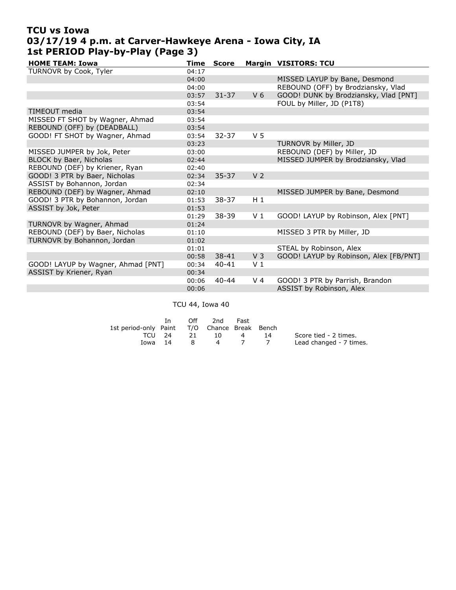### TCU vs Iowa 03/17/19 4 p.m. at Carver-Hawkeye Arena - Iowa City, IA 1st PERIOD Play-by-Play (Page 3)

| <b>HOME TEAM: Iowa</b>             | <b>Time</b> | <b>Score</b> |                | <b>Margin VISITORS: TCU</b>            |
|------------------------------------|-------------|--------------|----------------|----------------------------------------|
| TURNOVR by Cook, Tyler             | 04:17       |              |                |                                        |
|                                    | 04:00       |              |                | MISSED LAYUP by Bane, Desmond          |
|                                    | 04:00       |              |                | REBOUND (OFF) by Brodziansky, Vlad     |
|                                    | 03:57       | $31 - 37$    | V <sub>6</sub> | GOOD! DUNK by Brodziansky, Vlad [PNT]  |
|                                    | 03:54       |              |                | FOUL by Miller, JD (P1T8)              |
| TIMEOUT media                      | 03:54       |              |                |                                        |
| MISSED FT SHOT by Wagner, Ahmad    | 03:54       |              |                |                                        |
| REBOUND (OFF) by (DEADBALL)        | 03:54       |              |                |                                        |
| GOOD! FT SHOT by Wagner, Ahmad     | 03:54       | $32 - 37$    | V <sub>5</sub> |                                        |
|                                    | 03:23       |              |                | TURNOVR by Miller, JD                  |
| MISSED JUMPER by Jok, Peter        | 03:00       |              |                | REBOUND (DEF) by Miller, JD            |
| BLOCK by Baer, Nicholas            | 02:44       |              |                | MISSED JUMPER by Brodziansky, Vlad     |
| REBOUND (DEF) by Kriener, Ryan     | 02:40       |              |                |                                        |
| GOOD! 3 PTR by Baer, Nicholas      | 02:34       | $35 - 37$    | V <sub>2</sub> |                                        |
| ASSIST by Bohannon, Jordan         | 02:34       |              |                |                                        |
| REBOUND (DEF) by Wagner, Ahmad     | 02:10       |              |                | MISSED JUMPER by Bane, Desmond         |
| GOOD! 3 PTR by Bohannon, Jordan    | 01:53       | 38-37        | $H_1$          |                                        |
| ASSIST by Jok, Peter               | 01:53       |              |                |                                        |
|                                    | 01:29       | $38 - 39$    | V <sub>1</sub> | GOOD! LAYUP by Robinson, Alex [PNT]    |
| TURNOVR by Wagner, Ahmad           | 01:24       |              |                |                                        |
| REBOUND (DEF) by Baer, Nicholas    | 01:10       |              |                | MISSED 3 PTR by Miller, JD             |
| TURNOVR by Bohannon, Jordan        | 01:02       |              |                |                                        |
|                                    | 01:01       |              |                | STEAL by Robinson, Alex                |
|                                    | 00:58       | $38 - 41$    | V <sub>3</sub> | GOOD! LAYUP by Robinson, Alex [FB/PNT] |
| GOOD! LAYUP by Wagner, Ahmad [PNT] | 00:34       | $40 - 41$    | V <sub>1</sub> |                                        |
| ASSIST by Kriener, Ryan            | 00:34       |              |                |                                        |
|                                    | 00:06       | $40 - 44$    | V <sub>4</sub> | GOOD! 3 PTR by Parrish, Brandon        |
|                                    | 00:06       |              |                | ASSIST by Robinson, Alex               |

TCU 44, Iowa 40

|                                              |        | Off          | 2nd      | Fast           |     |                         |
|----------------------------------------------|--------|--------------|----------|----------------|-----|-------------------------|
| 1st period-only Paint T/O Chance Break Bench |        |              |          |                |     |                         |
|                                              | TCU 24 | - 21 -       | 10 I     | $\sim$ 4       | -14 | Score tied - 2 times.   |
| Towa 14                                      |        | $\mathbf{R}$ | $\sim$ 4 | $7\frac{1}{2}$ |     | Lead changed - 7 times. |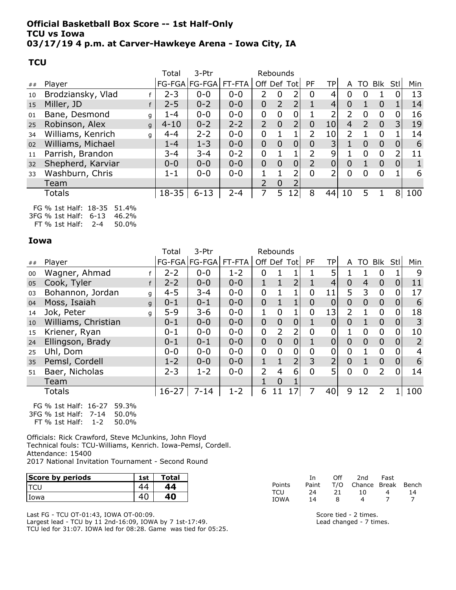#### Official Basketball Box Score -- 1st Half-Only TCU vs Iowa 03/17/19 4 p.m. at Carver-Hawkeye Arena - Iowa City, IA

#### **TCU**

|    |                        | Total     | 3-Ptr                    | Rebounds |                |                |          |                |                 |                |                |                |                |     |
|----|------------------------|-----------|--------------------------|----------|----------------|----------------|----------|----------------|-----------------|----------------|----------------|----------------|----------------|-----|
| ## | Player                 |           | FG-FGA   FG-FGA   FT-FTA |          | Off Def Tot    |                |          | <b>PF</b>      | TPI             | A              |                | TO Blk Stl     |                | Min |
| 10 | Brodziansky, Vlad      | $2 - 3$   | $0 - 0$                  | $0 - 0$  | $\overline{2}$ | 0              |          | 0              | 4               | 0              | 0              |                |                | 13  |
| 15 | Miller, JD             | $2 - 5$   | $0 - 2$                  | $0 - 0$  | $\overline{0}$ | $\overline{2}$ |          |                | $\overline{4}$  | $\overline{0}$ |                | $\Omega$       |                | 14  |
| 01 | Bane, Desmond<br>g     | 1-4       | $0 - 0$                  | $0 - 0$  | $\overline{0}$ | $\overline{0}$ | 0        |                | ว               | 2              | 0              | $\Omega$       | 0              | 16  |
| 25 | Robinson, Alex<br>g    | $4 - 10$  | $0 - 2$                  | $2 - 2$  | $\overline{2}$ | $\Omega$       |          | $\overline{0}$ | 10 <sub>l</sub> | 4              | 2              | $\overline{0}$ | 3              | 19  |
| 34 | Williams, Kenrich<br>q | $4 - 4$   | $2 - 2$                  | $0 - 0$  | 0              |                |          | 2              | 10 <sub>l</sub> |                |                | 0              |                | 14  |
| 02 | Williams, Michael      | $1 - 4$   | $1 - 3$                  | $0 - 0$  | $\overline{0}$ | $\overline{0}$ |          | $\overline{0}$ | 3 <sup>1</sup>  |                | $\overline{0}$ | $\overline{0}$ | $\overline{0}$ | 6   |
| 11 | Parrish, Brandon       | $3 - 4$   | $3 - 4$                  | $0 - 2$  | 0              | 1              |          | 2              | 9               |                | 0              | $\Omega$       | 2              | 11  |
| 32 | Shepherd, Karviar      | $0 - 0$   | $0 - 0$                  | $0 - 0$  | $\overline{0}$ | $\Omega$       | $\Omega$ | $\overline{2}$ | 0               | $\Omega$       | $\mathbf{1}$   | $\Omega$       | $\overline{0}$ |     |
| 33 | Washburn, Chris        | $1 - 1$   | $0 - 0$                  | $0 - 0$  |                |                |          | 0              |                 | 0              | 0              | 0              |                | 6   |
|    | Team                   |           |                          |          | $\overline{2}$ | $\Omega$       |          |                |                 |                |                |                |                |     |
|    | Totals                 | $18 - 35$ | $6 - 13$                 | $2 - 4$  | 7              | 5              | 12       | 8              | 44              | 10             | 5              |                | 8              | 100 |
|    |                        |           |                          |          |                |                |          |                |                 |                |                |                |                |     |

FG % 1st Half: 18-35 51.4% 3FG % 1st Half: 6-13 46.2% FT % 1st Half: 2-4 50.0%

#### Iowa

|    |                     |   | Total     | 3-Ptr                |         |                |                | Rebounds       |                |                |                |                |                |                |                |
|----|---------------------|---|-----------|----------------------|---------|----------------|----------------|----------------|----------------|----------------|----------------|----------------|----------------|----------------|----------------|
| ## | Player              |   |           | FG-FGA FG-FGA FT-FTA |         |                |                | Off Def Tot    | <b>PF</b>      | <b>TP</b>      | A              | TO             | Blk            | -Stl           | Min            |
| 00 | Wagner, Ahmad       |   | $2 - 2$   | $0 - 0$              | $1 - 2$ | 0              |                |                |                |                |                |                | 0              |                | 9              |
| 05 | Cook, Tyler         |   | $2 - 2$   | $0 - 0$              | $0 - 0$ | $\mathbf{1}$   | $\mathbf{1}$   | $\overline{2}$ |                | $\overline{4}$ | $\overline{0}$ | $\overline{4}$ | $\overline{0}$ | $\overline{0}$ | 11             |
| 03 | Bohannon, Jordan    | g | $4 - 5$   | $3 - 4$              | $0 - 0$ | $\mathbf 0$    |                |                | 0              | 11             | 5              | 3              | $\mathbf 0$    | 0              | 17             |
| 04 | Moss, Isaiah        | q | $0 - 1$   | $0 - 1$              | $0 - 0$ | $\mathbf 0$    | $\mathbf{1}$   | $\mathbf{1}$   | $\overline{0}$ | $\overline{0}$ | $\overline{0}$ | $\overline{0}$ | $\overline{0}$ | $\mathbf{0}$   | 6              |
| 14 | Jok, Peter          | q | $5 - 9$   | $3 - 6$              | $0 - 0$ | 1              | $\overline{0}$ | 1              | $\overline{0}$ | 13             | $\overline{2}$ |                | $\Omega$       | 0              | 18             |
| 10 | Williams, Christian |   | $0 - 1$   | $0 - 0$              | $0 - 0$ | $\overline{0}$ | $\mathbf{0}$   | $\overline{0}$ |                | $\mathbf{0}$   | $\mathbf{0}$   |                | $\overline{0}$ | $\overline{0}$ | 3              |
| 15 | Kriener, Ryan       |   | $0 - 1$   | $0 - 0$              | $0 - 0$ | $\mathbf 0$    | $\overline{2}$ | 2              | $\overline{0}$ | 0              |                | $\mathbf 0$    | $\mathbf 0$    | 0              | 10             |
| 24 | Ellingson, Brady    |   | $0 - 1$   | $0 - 1$              | $0 - 0$ | $\overline{0}$ | $\mathbf 0$    | $\mathbf 0$    |                | $\mathbf{0}$   | $\overline{0}$ | $\overline{0}$ | $\overline{0}$ | $\overline{0}$ | $\overline{2}$ |
| 25 | Uhl, Dom            |   | $0 - 0$   | $0 - 0$              | $0 - 0$ | $\mathbf 0$    | $\overline{0}$ | 0              | 0              | 0              | $\mathbf 0$    |                | $\mathbf 0$    | 0              | 4              |
| 35 | Pemsl, Cordell      |   | $1 - 2$   | $0 - 0$              | $0 - 0$ | $\mathbf{1}$   | $\mathbf{1}$   | $\overline{2}$ | 3              | $\overline{2}$ | $\overline{0}$ |                | $\overline{0}$ | $\overline{0}$ | 6              |
| 51 | Baer, Nicholas      |   | $2 - 3$   | $1 - 2$              | $0 - 0$ | $\overline{2}$ | 4              | 6              | $\overline{0}$ | 5              | $\mathbf 0$    | $\mathbf 0$    | $\overline{2}$ | $\mathbf 0$    | 14             |
|    | Team                |   |           |                      |         | 1              | $\overline{0}$ |                |                |                |                |                |                |                |                |
|    | Totals              |   | $16 - 27$ | $7 - 14$             | $1 - 2$ | 6              | 11             |                |                | 40             | 9              | 12             |                |                | 100            |
|    |                     |   |           |                      |         |                |                |                |                |                |                |                |                |                |                |

FG % 1st Half: 16-27 59.3% 3FG % 1st Half: 7-14 50.0% FT % 1st Half: 1-2 50.0%

Officials: Rick Crawford, Steve McJunkins, John Floyd Technical fouls: TCU-Williams, Kenrich. Iowa-Pemsl, Cordell. Attendance: 15400 2017 National Invitation Tournament - Second Round

| Score by periods | ⊥st | Total |                    | 1n       | Off      | 2nd | Fast            |
|------------------|-----|-------|--------------------|----------|----------|-----|-----------------|
| <b>TCU</b>       | 44  |       | Points             | Paint    | T/O      |     | Break<br>Chance |
| Iowa             | 40  |       | ⊤CU<br><b>IOWA</b> | 24<br>14 | 1 ר<br>ᅀ |     |                 |

Last FG - TCU OT-01:43, IOWA OT-00:09. Largest lead - TCU by 11 2nd-16:09, IOWA by 7 1st-17:49. TCU led for 31:07. IOWA led for 08:28. Game was tied for 05:25. Score tied - 2 times. Lead changed - 7 times.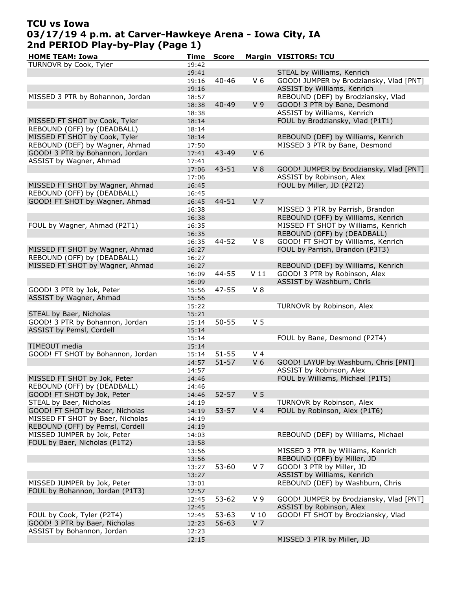# TCU vs Iowa 03/17/19 4 p.m. at Carver-Hawkeye Arena - Iowa City, IA 2nd PERIOD Play-by-Play (Page 1)

| <b>HOME TEAM: Iowa</b>            | Time  | <b>Score</b> |                 | <b>Margin VISITORS: TCU</b>             |
|-----------------------------------|-------|--------------|-----------------|-----------------------------------------|
| TURNOVR by Cook, Tyler            | 19:42 |              |                 |                                         |
|                                   | 19:41 |              |                 | STEAL by Williams, Kenrich              |
|                                   | 19:16 | $40 - 46$    | V <sub>6</sub>  | GOOD! JUMPER by Brodziansky, Vlad [PNT] |
|                                   | 19:16 |              |                 | ASSIST by Williams, Kenrich             |
| MISSED 3 PTR by Bohannon, Jordan  | 18:57 |              |                 | REBOUND (DEF) by Brodziansky, Vlad      |
|                                   | 18:38 | $40 - 49$    | V <sub>9</sub>  | GOOD! 3 PTR by Bane, Desmond            |
|                                   | 18:38 |              |                 | ASSIST by Williams, Kenrich             |
| MISSED FT SHOT by Cook, Tyler     | 18:14 |              |                 | FOUL by Brodziansky, Vlad (P1T1)        |
| REBOUND (OFF) by (DEADBALL)       | 18:14 |              |                 |                                         |
| MISSED FT SHOT by Cook, Tyler     |       |              |                 | REBOUND (DEF) by Williams, Kenrich      |
| REBOUND (DEF) by Wagner, Ahmad    | 18:14 |              |                 |                                         |
|                                   | 17:50 |              |                 | MISSED 3 PTR by Bane, Desmond           |
| GOOD! 3 PTR by Bohannon, Jordan   | 17:41 | 43-49        | V <sub>6</sub>  |                                         |
| ASSIST by Wagner, Ahmad           | 17:41 |              |                 |                                         |
|                                   | 17:06 | 43-51        | V8              | GOOD! JUMPER by Brodziansky, Vlad [PNT] |
|                                   | 17:06 |              |                 | ASSIST by Robinson, Alex                |
| MISSED FT SHOT by Wagner, Ahmad   | 16:45 |              |                 | FOUL by Miller, JD (P2T2)               |
| REBOUND (OFF) by (DEADBALL)       | 16:45 |              |                 |                                         |
| GOOD! FT SHOT by Wagner, Ahmad    | 16:45 | 44-51        | V <sub>7</sub>  |                                         |
|                                   | 16:38 |              |                 | MISSED 3 PTR by Parrish, Brandon        |
|                                   | 16:38 |              |                 | REBOUND (OFF) by Williams, Kenrich      |
| FOUL by Wagner, Ahmad (P2T1)      | 16:35 |              |                 | MISSED FT SHOT by Williams, Kenrich     |
|                                   | 16:35 |              |                 | REBOUND (OFF) by (DEADBALL)             |
|                                   | 16:35 | 44-52        | $V_8$           | GOOD! FT SHOT by Williams, Kenrich      |
| MISSED FT SHOT by Wagner, Ahmad   | 16:27 |              |                 | FOUL by Parrish, Brandon (P3T3)         |
| REBOUND (OFF) by (DEADBALL)       | 16:27 |              |                 |                                         |
| MISSED FT SHOT by Wagner, Ahmad   | 16:27 |              |                 | REBOUND (DEF) by Williams, Kenrich      |
|                                   | 16:09 | 44-55        | V <sub>11</sub> | GOOD! 3 PTR by Robinson, Alex           |
|                                   | 16:09 |              |                 | ASSIST by Washburn, Chris               |
| GOOD! 3 PTR by Jok, Peter         | 15:56 | $47 - 55$    | $V_8$           |                                         |
| ASSIST by Wagner, Ahmad           | 15:56 |              |                 |                                         |
|                                   | 15:22 |              |                 | TURNOVR by Robinson, Alex               |
| STEAL by Baer, Nicholas           | 15:21 |              |                 |                                         |
| GOOD! 3 PTR by Bohannon, Jordan   | 15:14 | $50 - 55$    | V <sub>5</sub>  |                                         |
| ASSIST by Pemsl, Cordell          | 15:14 |              |                 |                                         |
|                                   | 15:14 |              |                 | FOUL by Bane, Desmond (P2T4)            |
| TIMEOUT media                     |       |              |                 |                                         |
|                                   | 15:14 |              |                 |                                         |
| GOOD! FT SHOT by Bohannon, Jordan | 15:14 | $51 - 55$    | V <sub>4</sub>  |                                         |
|                                   | 14:57 | $51 - 57$    | V <sub>6</sub>  | GOOD! LAYUP by Washburn, Chris [PNT]    |
|                                   | 14:57 |              |                 | ASSIST by Robinson, Alex                |
| MISSED FT SHOT by Jok, Peter      | 14:46 |              |                 | FOUL by Williams, Michael (P1T5)        |
| REBOUND (OFF) by (DEADBALL)       | 14:46 |              |                 |                                         |
| GOOD! FT SHOT by Jok, Peter       | 14:46 | $52 - 57$    | V <sub>5</sub>  |                                         |
| STEAL by Baer, Nicholas           | 14:19 |              |                 | TURNOVR by Robinson, Alex               |
| GOOD! FT SHOT by Baer, Nicholas   | 14:19 | 53-57        | V <sub>4</sub>  | FOUL by Robinson, Alex (P1T6)           |
| MISSED FT SHOT by Baer, Nicholas  | 14:19 |              |                 |                                         |
| REBOUND (OFF) by Pemsl, Cordell   | 14:19 |              |                 |                                         |
| MISSED JUMPER by Jok, Peter       | 14:03 |              |                 | REBOUND (DEF) by Williams, Michael      |
| FOUL by Baer, Nicholas (P1T2)     | 13:58 |              |                 |                                         |
|                                   | 13:56 |              |                 | MISSED 3 PTR by Williams, Kenrich       |
|                                   | 13:56 |              |                 | REBOUND (OFF) by Miller, JD             |
|                                   | 13:27 | 53-60        | V 7             | GOOD! 3 PTR by Miller, JD               |
|                                   | 13:27 |              |                 | ASSIST by Williams, Kenrich             |
| MISSED JUMPER by Jok, Peter       | 13:01 |              |                 | REBOUND (DEF) by Washburn, Chris        |
| FOUL by Bohannon, Jordan (P1T3)   | 12:57 |              |                 |                                         |
|                                   | 12:45 | $53 - 62$    | V 9             | GOOD! JUMPER by Brodziansky, Vlad [PNT] |
|                                   | 12:45 |              |                 | ASSIST by Robinson, Alex                |
| FOUL by Cook, Tyler (P2T4)        | 12:45 | $53 - 63$    | V <sub>10</sub> | GOOD! FT SHOT by Brodziansky, Vlad      |
| GOOD! 3 PTR by Baer, Nicholas     | 12:23 | $56 - 63$    | V <sub>7</sub>  |                                         |
| ASSIST by Bohannon, Jordan        | 12:23 |              |                 |                                         |
|                                   | 12:15 |              |                 | MISSED 3 PTR by Miller, JD              |
|                                   |       |              |                 |                                         |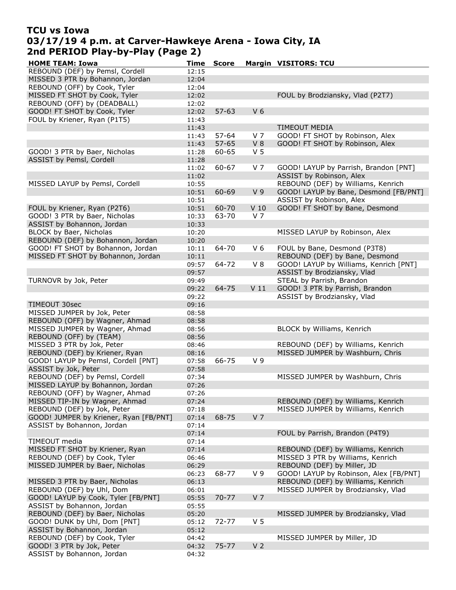### TCU vs Iowa 03/17/19 4 p.m. at Carver-Hawkeye Arena - Iowa City, IA 2nd PERIOD Play-by-Play (Page 2)

| <b>HOME TEAM: Iowa</b>                 | Time  | <b>Score</b> |                 | <b>Margin VISITORS: TCU</b>            |
|----------------------------------------|-------|--------------|-----------------|----------------------------------------|
| REBOUND (DEF) by Pemsl, Cordell        | 12:15 |              |                 |                                        |
| MISSED 3 PTR by Bohannon, Jordan       | 12:04 |              |                 |                                        |
| REBOUND (OFF) by Cook, Tyler           | 12:04 |              |                 |                                        |
| MISSED FT SHOT by Cook, Tyler          | 12:02 |              |                 | FOUL by Brodziansky, Vlad (P2T7)       |
| REBOUND (OFF) by (DEADBALL)            | 12:02 |              |                 |                                        |
| GOOD! FT SHOT by Cook, Tyler           | 12:02 | $57 - 63$    | V <sub>6</sub>  |                                        |
| FOUL by Kriener, Ryan (P1T5)           | 11:43 |              |                 |                                        |
|                                        | 11:43 |              |                 | <b>TIMEOUT MEDIA</b>                   |
|                                        | 11:43 | $57 - 64$    | V <sub>7</sub>  | GOOD! FT SHOT by Robinson, Alex        |
|                                        | 11:43 | $57 - 65$    | $V_8$           | GOOD! FT SHOT by Robinson, Alex        |
| GOOD! 3 PTR by Baer, Nicholas          | 11:28 | 60-65        | V <sub>5</sub>  |                                        |
|                                        |       |              |                 |                                        |
| ASSIST by Pemsl, Cordell               | 11:28 |              |                 |                                        |
|                                        | 11:02 | 60-67        | V 7             | GOOD! LAYUP by Parrish, Brandon [PNT]  |
|                                        | 11:02 |              |                 | ASSIST by Robinson, Alex               |
| MISSED LAYUP by Pemsl, Cordell         | 10:55 |              |                 | REBOUND (DEF) by Williams, Kenrich     |
|                                        | 10:51 | 60-69        | V <sub>9</sub>  | GOOD! LAYUP by Bane, Desmond [FB/PNT]  |
|                                        | 10:51 |              |                 | ASSIST by Robinson, Alex               |
| FOUL by Kriener, Ryan (P2T6)           | 10:51 | 60-70        | V <sub>10</sub> | GOOD! FT SHOT by Bane, Desmond         |
| GOOD! 3 PTR by Baer, Nicholas          | 10:33 | 63-70        | V <sub>7</sub>  |                                        |
| ASSIST by Bohannon, Jordan             | 10:33 |              |                 |                                        |
| BLOCK by Baer, Nicholas                | 10:20 |              |                 | MISSED LAYUP by Robinson, Alex         |
| REBOUND (DEF) by Bohannon, Jordan      | 10:20 |              |                 |                                        |
| GOOD! FT SHOT by Bohannon, Jordan      | 10:11 | 64-70        | $V_6$           | FOUL by Bane, Desmond (P3T8)           |
| MISSED FT SHOT by Bohannon, Jordan     | 10:11 |              |                 | REBOUND (DEF) by Bane, Desmond         |
|                                        | 09:57 | 64-72        | $V_8$           | GOOD! LAYUP by Williams, Kenrich [PNT] |
|                                        | 09:57 |              |                 | ASSIST by Brodziansky, Vlad            |
| TURNOVR by Jok, Peter                  | 09:49 |              |                 | STEAL by Parrish, Brandon              |
|                                        | 09:22 | 64-75        | V <sub>11</sub> | GOOD! 3 PTR by Parrish, Brandon        |
|                                        | 09:22 |              |                 | ASSIST by Brodziansky, Vlad            |
| TIMEOUT 30sec                          | 09:16 |              |                 |                                        |
| MISSED JUMPER by Jok, Peter            | 08:58 |              |                 |                                        |
| REBOUND (OFF) by Wagner, Ahmad         | 08:58 |              |                 |                                        |
| MISSED JUMPER by Wagner, Ahmad         | 08:56 |              |                 | BLOCK by Williams, Kenrich             |
| REBOUND (OFF) by (TEAM)                | 08:56 |              |                 |                                        |
| MISSED 3 PTR by Jok, Peter             |       |              |                 | REBOUND (DEF) by Williams, Kenrich     |
|                                        | 08:46 |              |                 | MISSED JUMPER by Washburn, Chris       |
| REBOUND (DEF) by Kriener, Ryan         | 08:16 |              |                 |                                        |
| GOOD! LAYUP by Pemsl, Cordell [PNT]    | 07:58 | 66-75        | V <sub>9</sub>  |                                        |
| ASSIST by Jok, Peter                   | 07:58 |              |                 |                                        |
| REBOUND (DEF) by Pemsl, Cordell        | 07:34 |              |                 | MISSED JUMPER by Washburn, Chris       |
| MISSED LAYUP by Bohannon, Jordan       | 07:26 |              |                 |                                        |
| REBOUND (OFF) by Wagner, Ahmad         | 07:26 |              |                 |                                        |
| MISSED TIP-IN by Wagner, Ahmad         | 07:24 |              |                 | REBOUND (DEF) by Williams, Kenrich     |
| REBOUND (DEF) by Jok, Peter            | 07:18 |              |                 | MISSED JUMPER by Williams, Kenrich     |
| GOOD! JUMPER by Kriener, Ryan [FB/PNT] | 07:14 | 68-75        | V <sub>7</sub>  |                                        |
| ASSIST by Bohannon, Jordan             | 07:14 |              |                 |                                        |
|                                        | 07:14 |              |                 | FOUL by Parrish, Brandon (P4T9)        |
| TIMEOUT media                          | 07:14 |              |                 |                                        |
| MISSED FT SHOT by Kriener, Ryan        | 07:14 |              |                 | REBOUND (DEF) by Williams, Kenrich     |
| REBOUND (DEF) by Cook, Tyler           | 06:46 |              |                 | MISSED 3 PTR by Williams, Kenrich      |
| MISSED JUMPER by Baer, Nicholas        | 06:29 |              |                 | REBOUND (DEF) by Miller, JD            |
|                                        | 06:23 | 68-77        | V <sub>9</sub>  | GOOD! LAYUP by Robinson, Alex [FB/PNT] |
| MISSED 3 PTR by Baer, Nicholas         | 06:13 |              |                 | REBOUND (DEF) by Williams, Kenrich     |
| REBOUND (DEF) by Uhl, Dom              | 06:01 |              |                 | MISSED JUMPER by Brodziansky, Vlad     |
| GOOD! LAYUP by Cook, Tyler [FB/PNT]    | 05:55 | $70 - 77$    | V <sub>7</sub>  |                                        |
| ASSIST by Bohannon, Jordan             | 05:55 |              |                 |                                        |
| REBOUND (DEF) by Baer, Nicholas        | 05:20 |              |                 | MISSED JUMPER by Brodziansky, Vlad     |
| GOOD! DUNK by Uhl, Dom [PNT]           | 05:12 | $72 - 77$    | V <sub>5</sub>  |                                        |
| ASSIST by Bohannon, Jordan             | 05:12 |              |                 |                                        |
| REBOUND (DEF) by Cook, Tyler           | 04:42 |              |                 | MISSED JUMPER by Miller, JD            |
| GOOD! 3 PTR by Jok, Peter              | 04:32 | $75 - 77$    | V <sub>2</sub>  |                                        |
| ASSIST by Bohannon, Jordan             |       |              |                 |                                        |
|                                        | 04:32 |              |                 |                                        |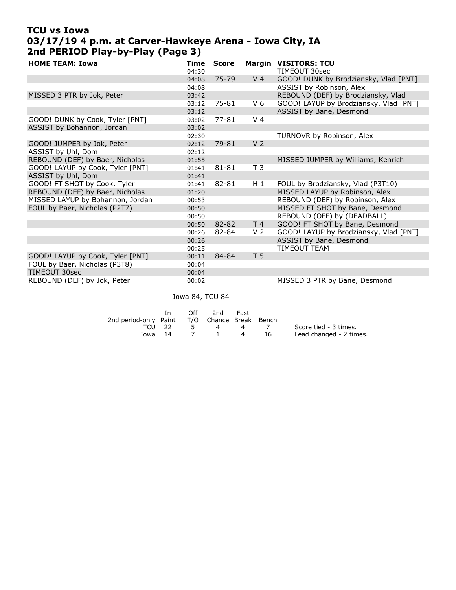# TCU vs Iowa 03/17/19 4 p.m. at Carver-Hawkeye Arena - Iowa City, IA 2nd PERIOD Play-by-Play (Page 3)

| <b>HOME TEAM: Iowa</b>           | Time  | <b>Score</b> |                | <b>Margin VISITORS: TCU</b>            |
|----------------------------------|-------|--------------|----------------|----------------------------------------|
|                                  | 04:30 |              |                | TIMEOUT 30sec                          |
|                                  | 04:08 | 75-79        | V <sub>4</sub> | GOOD! DUNK by Brodziansky, Vlad [PNT]  |
|                                  | 04:08 |              |                | ASSIST by Robinson, Alex               |
| MISSED 3 PTR by Jok, Peter       | 03:42 |              |                | REBOUND (DEF) by Brodziansky, Vlad     |
|                                  | 03:12 | 75-81        | $V_6$          | GOOD! LAYUP by Brodziansky, Vlad [PNT] |
|                                  | 03:12 |              |                | ASSIST by Bane, Desmond                |
| GOOD! DUNK by Cook, Tyler [PNT]  | 03:02 | $77 - 81$    | V <sub>4</sub> |                                        |
| ASSIST by Bohannon, Jordan       | 03:02 |              |                |                                        |
|                                  | 02:30 |              |                | TURNOVR by Robinson, Alex              |
| GOOD! JUMPER by Jok, Peter       | 02:12 | 79-81        | V <sub>2</sub> |                                        |
| ASSIST by Uhl, Dom               | 02:12 |              |                |                                        |
| REBOUND (DEF) by Baer, Nicholas  | 01:55 |              |                | MISSED JUMPER by Williams, Kenrich     |
| GOOD! LAYUP by Cook, Tyler [PNT] | 01:41 | 81-81        | T <sub>3</sub> |                                        |
| ASSIST by Uhl, Dom               | 01:41 |              |                |                                        |
| GOOD! FT SHOT by Cook, Tyler     | 01:41 | 82-81        | H 1            | FOUL by Brodziansky, Vlad (P3T10)      |
| REBOUND (DEF) by Baer, Nicholas  | 01:20 |              |                | MISSED LAYUP by Robinson, Alex         |
| MISSED LAYUP by Bohannon, Jordan | 00:53 |              |                | REBOUND (DEF) by Robinson, Alex        |
| FOUL by Baer, Nicholas (P2T7)    | 00:50 |              |                | MISSED FT SHOT by Bane, Desmond        |
|                                  | 00:50 |              |                | REBOUND (OFF) by (DEADBALL)            |
|                                  | 00:50 | 82-82        | T <sub>4</sub> | GOOD! FT SHOT by Bane, Desmond         |
|                                  | 00:26 | 82-84        | V 2            | GOOD! LAYUP by Brodziansky, Vlad [PNT] |
|                                  | 00:26 |              |                | ASSIST by Bane, Desmond                |
|                                  | 00:25 |              |                | <b>TIMEOUT TEAM</b>                    |
| GOOD! LAYUP by Cook, Tyler [PNT] | 00:11 | 84-84        | T <sub>5</sub> |                                        |
| FOUL by Baer, Nicholas (P3T8)    | 00:04 |              |                |                                        |
| TIMEOUT 30sec                    | 00:04 |              |                |                                        |
| REBOUND (DEF) by Jok, Peter      | 00:02 |              |                | MISSED 3 PTR by Bane, Desmond          |

Iowa 84, TCU 84

|                                              | Off the order | 2nd            | Fast     |      |                         |
|----------------------------------------------|---------------|----------------|----------|------|-------------------------|
| 2nd period-only Paint T/O Chance Break Bench |               |                |          |      |                         |
| TCU 22                                       | $-5$          | $\overline{a}$ |          | 4 /  | Score tied - 3 times.   |
| Iowa 14                                      |               | 7 1            | $\sim$ 4 | - 16 | Lead changed - 2 times. |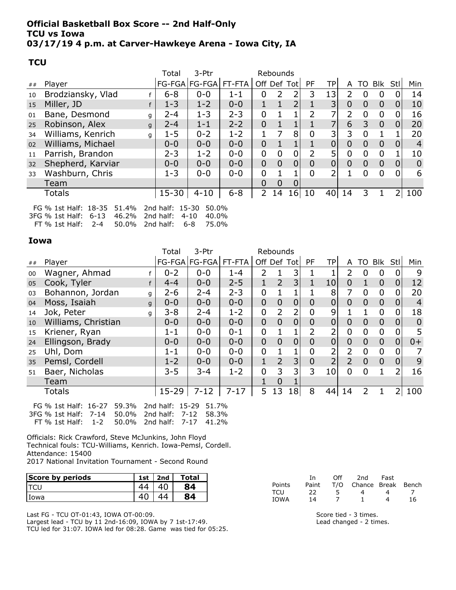#### Official Basketball Box Score -- 2nd Half-Only TCU vs Iowa 03/17/19 4 p.m. at Carver-Hawkeye Arena - Iowa City, IA

#### **TCU**

|    |                        | Total     | 3-Ptr                |         |                | Rebounds    |          |           |                |                |                |                |                |                |
|----|------------------------|-----------|----------------------|---------|----------------|-------------|----------|-----------|----------------|----------------|----------------|----------------|----------------|----------------|
| ## | Player                 |           | FG-FGA FG-FGA FT-FTA |         |                | Off Def Tot |          | <b>PF</b> | TPI            | A              |                | TO Blk Stl     |                | Min            |
| 10 | Brodziansky, Vlad      | $6 - 8$   | $0 - 0$              | $1 - 1$ | 0              | 2           | 2        | 3         | 13             |                | 0              | O              | 0              | 14             |
| 15 | Miller, JD             | $1 - 3$   | $1 - 2$              | $0 - 0$ | 1              |             |          |           | 3              | $\overline{0}$ | $\overline{0}$ | $\Omega$       | $\mathbf{0}$   | 10             |
| 01 | Bane, Desmond<br>g     | $2 - 4$   | $1 - 3$              | $2 - 3$ | 0              |             |          | 2         |                | 2              | 0              | $\Omega$       | 0              | 16             |
| 25 | Robinson, Alex<br>g    | $2 - 4$   | $1 - 1$              | $2 - 2$ | $\overline{0}$ |             |          |           |                | 6              | 3              | $\overline{0}$ | $\overline{0}$ | 20             |
| 34 | Williams, Kenrich<br>q | $1 - 5$   | $0 - 2$              | $1 - 2$ |                |             | 8        | 0         | 3              | 3              | 0              |                |                | 20             |
| 02 | Williams, Michael      | $0 - 0$   | $0 - 0$              | $0 - 0$ | $\overline{0}$ |             |          |           | 0              | $\Omega$       | 0              | $\Omega$       | 0              | 4              |
| 11 | Parrish, Brandon       | $2 - 3$   | $1 - 2$              | $0 - 0$ | 0              | 0           | 0        | 2         | 5              | 0              | 0              | $\Omega$       |                | 10             |
| 32 | Shepherd, Karviar      | $0 - 0$   | $0 - 0$              | $0 - 0$ | $\overline{0}$ | $\Omega$    | $\Omega$ | $\Omega$  | $\overline{0}$ | $\Omega$       | $\Omega$       | $\Omega$       | $\overline{0}$ | $\overline{0}$ |
| 33 | Washburn, Chris        | $1 - 3$   | $0 - 0$              | $0 - 0$ | $\mathbf 0$    |             |          | 0         | 2              |                | 0              | $\Omega$       | 0              | 6              |
|    | Team                   |           |                      |         | 0              | 0           | 0        |           |                |                |                |                |                |                |
|    | Totals                 | $15 - 30$ | $4 - 10$             | $6 - 8$ | $\overline{2}$ | 14          | 16       | 10        | 40             | 14             | 3              |                |                | 100            |
|    |                        |           |                      |         |                |             |          |           |                |                |                |                |                |                |

FG % 1st Half: 18-35 51.4% 2nd half: 15-30 50.0% 3FG % 1st Half: 6-13 46.2% FT % 1st Half: 2-4 50.0% 2nd half: 6-8 75.0% 2nd half: 4-10 40.0%

#### Iowa

|    |                     |   | Total     | 3-Ptr                |          |                | Rebounds       |                |                |                 |                |                |                |                |                |
|----|---------------------|---|-----------|----------------------|----------|----------------|----------------|----------------|----------------|-----------------|----------------|----------------|----------------|----------------|----------------|
| ## | Player              |   |           | FG-FGA FG-FGA FT-FTA |          |                | Off Def Tot    |                | <b>PF</b>      | <b>TP</b>       | A              | TO             | <b>Blk</b>     | Stl            | Min            |
| 00 | Wagner, Ahmad       |   | $0 - 2$   | $0 - 0$              | $1 - 4$  | 2              | 1              | 3              |                |                 | 2              | 0              | 0              | 0              | 9              |
| 05 | Cook, Tyler         |   | $4 - 4$   | $0 - 0$              | $2 - 5$  | $\mathbf{1}$   | $\overline{2}$ | 3              | $\mathbf{1}$   | 10 <sub>l</sub> | $\overline{0}$ | $\mathbf{1}$   | $\overline{0}$ | $\overline{0}$ | 12             |
| 03 | Bohannon, Jordan    | g | $2 - 6$   | $2 - 4$              | $2 - 3$  | $\mathbf 0$    |                |                |                | 8               | 7              | 0              | $\mathbf 0$    | 0              | 20             |
| 04 | Moss, Isaiah        | q | $0 - 0$   | $0 - 0$              | $0 - 0$  | $\overline{0}$ | $\overline{0}$ | $\mathbf 0$    | $\overline{0}$ | 0               | $\overline{0}$ | $\overline{0}$ | $\overline{0}$ | $\mathbf 0$    | $\overline{4}$ |
| 14 | Jok, Peter          | q | $3 - 8$   | $2 - 4$              | $1 - 2$  | $\overline{0}$ | $\overline{2}$ | 2              | 0              | 9               |                |                | $\overline{0}$ | 0              | 18             |
| 10 | Williams, Christian |   | $0 - 0$   | $0 - 0$              | $0 - 0$  | $\mathbf 0$    | $\overline{0}$ | $\overline{0}$ | $\overline{0}$ | $\overline{0}$  | $\overline{0}$ | $\overline{0}$ | $\overline{0}$ | $\mathbf{0}$   | $\mathbf 0$    |
| 15 | Kriener, Ryan       |   | $1 - 1$   | $0 - 0$              | $0 - 1$  | $\mathbf 0$    |                |                | $\overline{2}$ | 2               | $\overline{0}$ | $\mathbf 0$    | $\overline{0}$ | 0              | 5              |
| 24 | Ellingson, Brady    |   | $0 - 0$   | $0 - 0$              | $0 - 0$  | $\overline{0}$ | $\overline{0}$ | $\overline{0}$ | $\overline{0}$ | $\overline{0}$  | $\overline{0}$ | $\overline{0}$ | $\overline{0}$ | $\overline{0}$ | $0+$           |
| 25 | Uhl, Dom            |   | $1 - 1$   | $0 - 0$              | $0 - 0$  | $\overline{0}$ | 1              |                | $\overline{0}$ | 2               | 2              | $\mathbf 0$    | $\mathbf 0$    | 0              | 7              |
| 35 | Pemsl, Cordell      |   | $1 - 2$   | $0 - 0$              | $0 - 0$  | $\mathbf{1}$   | $\overline{2}$ | 3              | $\overline{0}$ | ำ               | $\overline{2}$ | $\overline{0}$ | $\overline{0}$ | $\overline{0}$ | 9              |
| 51 | Baer, Nicholas      |   | $3 - 5$   | $3 - 4$              | $1 - 2$  | $\overline{0}$ | 3              | 3              | 3              | 10 <sub>l</sub> | $\Omega$       | $\mathbf 0$    |                | 2              | 16             |
|    | Team                |   |           |                      |          | 1              | 0              |                |                |                 |                |                |                |                |                |
|    | <b>Totals</b>       |   | $15 - 29$ | $7 - 12$             | $7 - 17$ | 5              | 13             | 18             | 8              | 44              | 14             | $\mathcal{P}$  |                | 2              | 100            |
|    |                     |   |           |                      |          |                |                |                |                |                 |                |                |                |                |                |

FG % 1st Half: 16-27 59.3% 2nd half: 15-29 51.7% 3FG % 1st Half: 7-14 50.0% 2nd half: 7-12 58.3% FT % 1st Half: 1-2 50.0% 2nd half: 7-17 41.2%

Officials: Rick Crawford, Steve McJunkins, John Floyd Technical fouls: TCU-Williams, Kenrich. Iowa-Pemsl, Cordell. Attendance: 15400 2017 National Invitation Tournament - Second Round

| Score by periods | 1st | 2nd | <b>Total</b> |
|------------------|-----|-----|--------------|
|                  |     |     | RД           |
| l Iowa           |     |     | RА           |

Last FG - TCU OT-01:43, IOWA OT-00:09. Largest lead - TCU by 11 2nd-16:09, IOWA by 7 1st-17:49. TCU led for 31:07. IOWA led for 08:28. Game was tied for 05:25.

|        | Ιn.   | ∩ff | 2nd                    | Fast |     |
|--------|-------|-----|------------------------|------|-----|
| Points | Paint |     | T/O Chance Break Bench |      |     |
| TCU    | 22    | 5   | 4                      |      |     |
| IOWA   | 14    |     |                        |      | 16. |

Score tied - 3 times. Lead changed - 2 times.